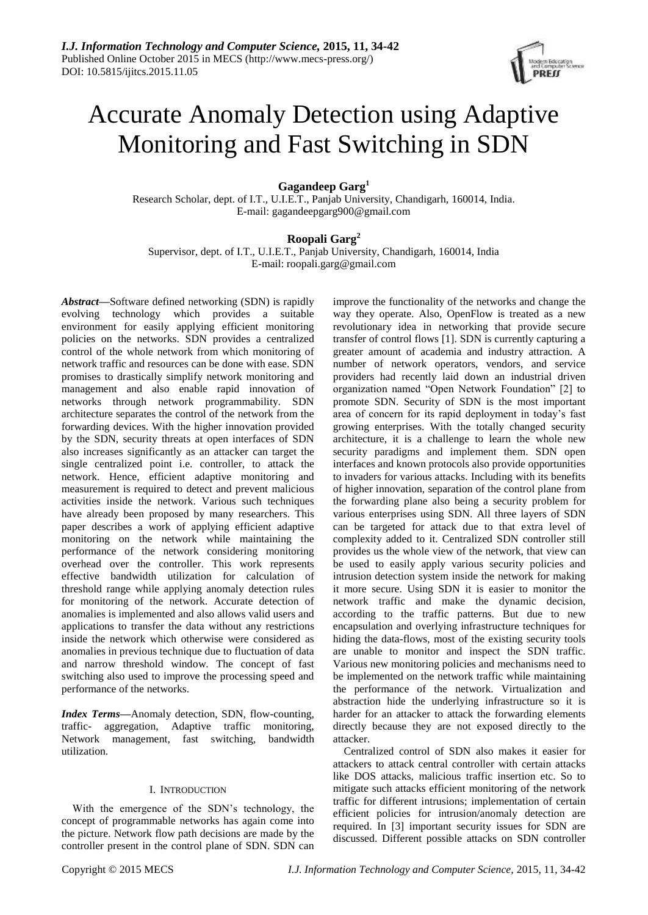

# Accurate Anomaly Detection using Adaptive Monitoring and Fast Switching in SDN

**Gagandeep Garg<sup>1</sup>**

Research Scholar, dept. of I.T., U.I.E.T., Panjab University, Chandigarh, 160014, India. E-mail: gagandeepgarg900@gmail.com

## **Roopali Garg<sup>2</sup>**

Supervisor, dept. of I.T., U.I.E.T., Panjab University, Chandigarh, 160014, India E-mail: roopali.garg@gmail.com

*Abstract***—**Software defined networking (SDN) is rapidly evolving technology which provides a suitable environment for easily applying efficient monitoring policies on the networks. SDN provides a centralized control of the whole network from which monitoring of network traffic and resources can be done with ease. SDN promises to drastically simplify network monitoring and management and also enable rapid innovation of networks through network programmability. SDN architecture separates the control of the network from the forwarding devices. With the higher innovation provided by the SDN, security threats at open interfaces of SDN also increases significantly as an attacker can target the single centralized point i.e. controller, to attack the network. Hence, efficient adaptive monitoring and measurement is required to detect and prevent malicious activities inside the network. Various such techniques have already been proposed by many researchers. This paper describes a work of applying efficient adaptive monitoring on the network while maintaining the performance of the network considering monitoring overhead over the controller. This work represents effective bandwidth utilization for calculation of threshold range while applying anomaly detection rules for monitoring of the network. Accurate detection of anomalies is implemented and also allows valid users and applications to transfer the data without any restrictions inside the network which otherwise were considered as anomalies in previous technique due to fluctuation of data and narrow threshold window. The concept of fast switching also used to improve the processing speed and performance of the networks.

*Index Terms***—**Anomaly detection, SDN, flow-counting, traffic- aggregation, Adaptive traffic monitoring, Network management, fast switching, bandwidth utilization.

## I. INTRODUCTION

With the emergence of the SDN's technology, the concept of programmable networks has again come into the picture. Network flow path decisions are made by the controller present in the control plane of SDN. SDN can improve the functionality of the networks and change the way they operate. Also, OpenFlow is treated as a new revolutionary idea in networking that provide secure transfer of control flows [1]. SDN is currently capturing a greater amount of academia and industry attraction. A number of network operators, vendors, and service providers had recently laid down an industrial driven organization named "Open Network Foundation" [2] to promote SDN. Security of SDN is the most important area of concern for its rapid deployment in today's fast growing enterprises. With the totally changed security architecture, it is a challenge to learn the whole new security paradigms and implement them. SDN open interfaces and known protocols also provide opportunities to invaders for various attacks. Including with its benefits of higher innovation, separation of the control plane from the forwarding plane also being a security problem for various enterprises using SDN. All three layers of SDN can be targeted for attack due to that extra level of complexity added to it. Centralized SDN controller still provides us the whole view of the network, that view can be used to easily apply various security policies and intrusion detection system inside the network for making it more secure. Using SDN it is easier to monitor the network traffic and make the dynamic decision, according to the traffic patterns. But due to new encapsulation and overlying infrastructure techniques for hiding the data-flows, most of the existing security tools are unable to monitor and inspect the SDN traffic. Various new monitoring policies and mechanisms need to be implemented on the network traffic while maintaining the performance of the network. Virtualization and abstraction hide the underlying infrastructure so it is harder for an attacker to attack the forwarding elements directly because they are not exposed directly to the attacker.

Centralized control of SDN also makes it easier for attackers to attack central controller with certain attacks like DOS attacks, malicious traffic insertion etc. So to mitigate such attacks efficient monitoring of the network traffic for different intrusions; implementation of certain efficient policies for intrusion/anomaly detection are required. In [3] important security issues for SDN are discussed. Different possible attacks on SDN controller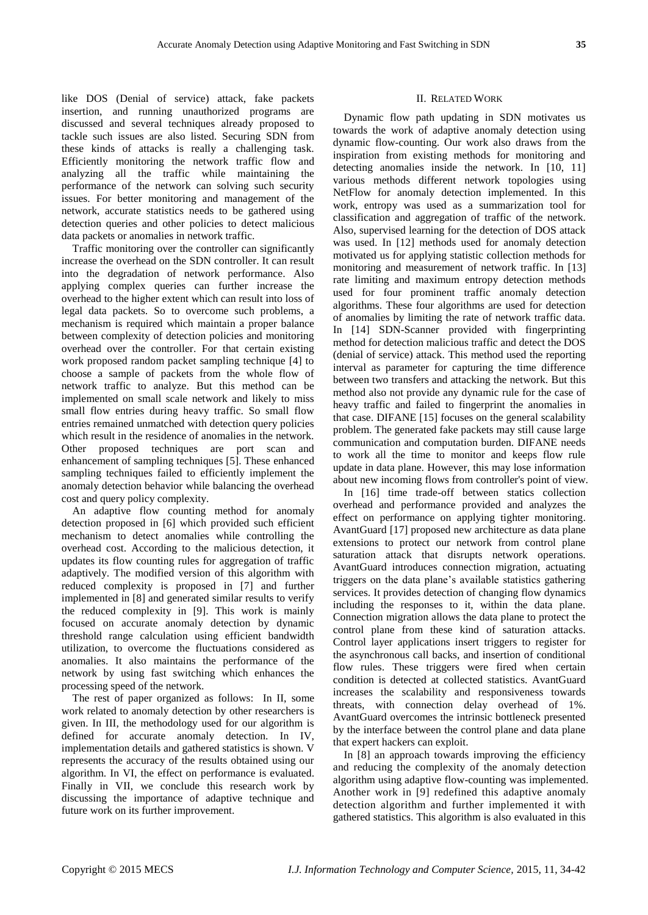like DOS (Denial of service) attack, fake packets insertion, and running unauthorized programs are discussed and several techniques already proposed to tackle such issues are also listed. Securing SDN from these kinds of attacks is really a challenging task. Efficiently monitoring the network traffic flow and analyzing all the traffic while maintaining the performance of the network can solving such security issues. For better monitoring and management of the network, accurate statistics needs to be gathered using detection queries and other policies to detect malicious data packets or anomalies in network traffic.

Traffic monitoring over the controller can significantly increase the overhead on the SDN controller. It can result into the degradation of network performance. Also applying complex queries can further increase the overhead to the higher extent which can result into loss of legal data packets. So to overcome such problems, a mechanism is required which maintain a proper balance between complexity of detection policies and monitoring overhead over the controller. For that certain existing work proposed random packet sampling technique [4] to choose a sample of packets from the whole flow of network traffic to analyze. But this method can be implemented on small scale network and likely to miss small flow entries during heavy traffic. So small flow entries remained unmatched with detection query policies which result in the residence of anomalies in the network. Other proposed techniques are port scan and enhancement of sampling techniques [5]. These enhanced sampling techniques failed to efficiently implement the anomaly detection behavior while balancing the overhead cost and query policy complexity.

An adaptive flow counting method for anomaly detection proposed in [6] which provided such efficient mechanism to detect anomalies while controlling the overhead cost. According to the malicious detection, it updates its flow counting rules for aggregation of traffic adaptively. The modified version of this algorithm with reduced complexity is proposed in [7] and further implemented in [8] and generated similar results to verify the reduced complexity in [9]. This work is mainly focused on accurate anomaly detection by dynamic threshold range calculation using efficient bandwidth utilization, to overcome the fluctuations considered as anomalies. It also maintains the performance of the network by using fast switching which enhances the processing speed of the network.

The rest of paper organized as follows: In II, some work related to anomaly detection by other researchers is given. In III, the methodology used for our algorithm is defined for accurate anomaly detection. In IV, implementation details and gathered statistics is shown. V represents the accuracy of the results obtained using our algorithm. In VI, the effect on performance is evaluated. Finally in VII, we conclude this research work by discussing the importance of adaptive technique and future work on its further improvement.

## II. RELATED WORK

Dynamic flow path updating in SDN motivates us towards the work of adaptive anomaly detection using dynamic flow-counting. Our work also draws from the inspiration from existing methods for monitoring and detecting anomalies inside the network. In [10, 11] various methods different network topologies using NetFlow for anomaly detection implemented. In this work, entropy was used as a summarization tool for classification and aggregation of traffic of the network. Also, supervised learning for the detection of DOS attack was used. In [12] methods used for anomaly detection motivated us for applying statistic collection methods for monitoring and measurement of network traffic. In [13] rate limiting and maximum entropy detection methods used for four prominent traffic anomaly detection algorithms. These four algorithms are used for detection of anomalies by limiting the rate of network traffic data. In [14] SDN-Scanner provided with fingerprinting method for detection malicious traffic and detect the DOS (denial of service) attack. This method used the reporting interval as parameter for capturing the time difference between two transfers and attacking the network. But this method also not provide any dynamic rule for the case of heavy traffic and failed to fingerprint the anomalies in that case. DIFANE [15] focuses on the general scalability problem. The generated fake packets may still cause large communication and computation burden. DIFANE needs to work all the time to monitor and keeps flow rule update in data plane. However, this may lose information about new incoming flows from controller's point of view.

In [16] time trade-off between statics collection overhead and performance provided and analyzes the effect on performance on applying tighter monitoring. AvantGuard [17] proposed new architecture as data plane extensions to protect our network from control plane saturation attack that disrupts network operations. AvantGuard introduces connection migration, actuating triggers on the data plane's available statistics gathering services. It provides detection of changing flow dynamics including the responses to it, within the data plane. Connection migration allows the data plane to protect the control plane from these kind of saturation attacks. Control layer applications insert triggers to register for the asynchronous call backs, and insertion of conditional flow rules. These triggers were fired when certain condition is detected at collected statistics. AvantGuard increases the scalability and responsiveness towards threats, with connection delay overhead of 1%. AvantGuard overcomes the intrinsic bottleneck presented by the interface between the control plane and data plane that expert hackers can exploit.

In [8] an approach towards improving the efficiency and reducing the complexity of the anomaly detection algorithm using adaptive flow-counting was implemented. Another work in [9] redefined this adaptive anomaly detection algorithm and further implemented it with gathered statistics. This algorithm is also evaluated in this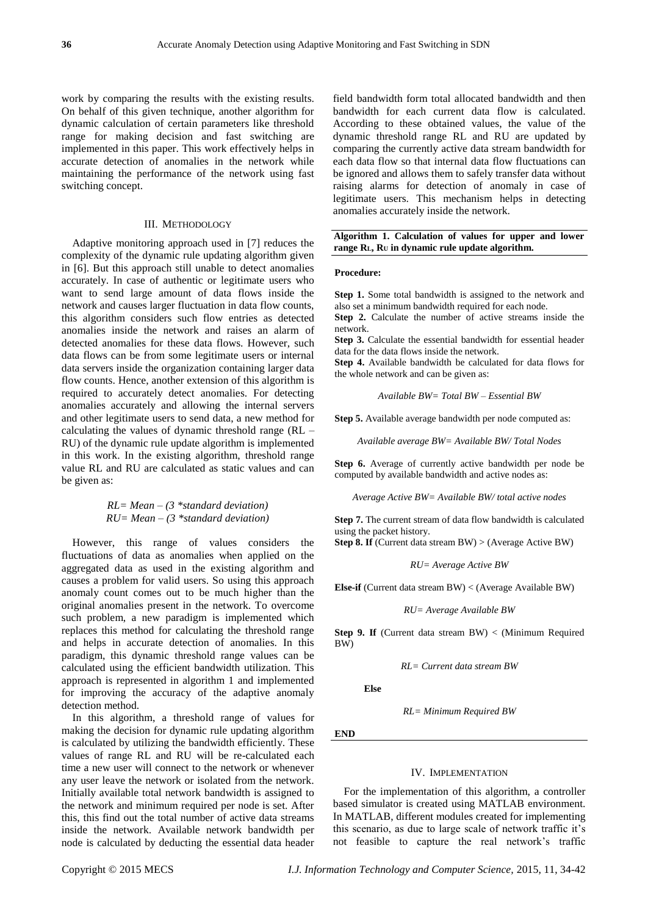work by comparing the results with the existing results. On behalf of this given technique, another algorithm for dynamic calculation of certain parameters like threshold range for making decision and fast switching are implemented in this paper. This work effectively helps in accurate detection of anomalies in the network while maintaining the performance of the network using fast switching concept.

## III. METHODOLOGY

Adaptive monitoring approach used in [7] reduces the complexity of the dynamic rule updating algorithm given in [6]. But this approach still unable to detect anomalies accurately. In case of authentic or legitimate users who want to send large amount of data flows inside the network and causes larger fluctuation in data flow counts, this algorithm considers such flow entries as detected anomalies inside the network and raises an alarm of detected anomalies for these data flows. However, such data flows can be from some legitimate users or internal data servers inside the organization containing larger data flow counts. Hence, another extension of this algorithm is required to accurately detect anomalies. For detecting anomalies accurately and allowing the internal servers and other legitimate users to send data, a new method for calculating the values of dynamic threshold range (RL – RU) of the dynamic rule update algorithm is implemented in this work. In the existing algorithm, threshold range value RL and RU are calculated as static values and can be given as:

$$
RL = Mean - (3 * standard deviation)
$$
  
 $RU = Mean - (3 * standard deviation)$ 

However, this range of values considers the fluctuations of data as anomalies when applied on the aggregated data as used in the existing algorithm and causes a problem for valid users. So using this approach anomaly count comes out to be much higher than the original anomalies present in the network. To overcome such problem, a new paradigm is implemented which replaces this method for calculating the threshold range and helps in accurate detection of anomalies. In this paradigm, this dynamic threshold range values can be calculated using the efficient bandwidth utilization. This approach is represented in algorithm 1 and implemented for improving the accuracy of the adaptive anomaly detection method.

In this algorithm, a threshold range of values for making the decision for dynamic rule updating algorithm is calculated by utilizing the bandwidth efficiently. These values of range RL and RU will be re-calculated each time a new user will connect to the network or whenever any user leave the network or isolated from the network. Initially available total network bandwidth is assigned to the network and minimum required per node is set. After this, this find out the total number of active data streams inside the network. Available network bandwidth per node is calculated by deducting the essential data header

field bandwidth form total allocated bandwidth and then bandwidth for each current data flow is calculated. According to these obtained values, the value of the dynamic threshold range RL and RU are updated by comparing the currently active data stream bandwidth for each data flow so that internal data flow fluctuations can be ignored and allows them to safely transfer data without raising alarms for detection of anomaly in case of legitimate users. This mechanism helps in detecting anomalies accurately inside the network.

#### **Algorithm 1. Calculation of values for upper and lower range RL, R<sup>U</sup> in dynamic rule update algorithm.**

#### **Procedure:**

**Step 1.** Some total bandwidth is assigned to the network and also set a minimum bandwidth required for each node.

**Step 2.** Calculate the number of active streams inside the network.

**Step 3.** Calculate the essential bandwidth for essential header data for the data flows inside the network.

**Step 4.** Available bandwidth be calculated for data flows for the whole network and can be given as:

*Available BW= Total BW – Essential BW*

**Step 5.** Available average bandwidth per node computed as:

*Available average BW= Available BW/ Total Nodes*

**Step 6.** Average of currently active bandwidth per node be computed by available bandwidth and active nodes as:

*Average Active BW= Available BW/ total active nodes*

**Step 7.** The current stream of data flow bandwidth is calculated using the packet history.

**Step 8. If** (Current data stream BW) > (Average Active BW)

*RU= Average Active BW*

**Else-if** (Current data stream BW) < (Average Available BW)

*RU= Average Available BW*

**Step 9. If** (Current data stream BW) < (Minimum Required BW)

*RL= Current data stream BW*

**Else**

*RL= Minimum Required BW*

**END**

#### IV. IMPLEMENTATION

For the implementation of this algorithm, a controller based simulator is created using MATLAB environment. In MATLAB, different modules created for implementing this scenario, as due to large scale of network traffic it's not feasible to capture the real network's traffic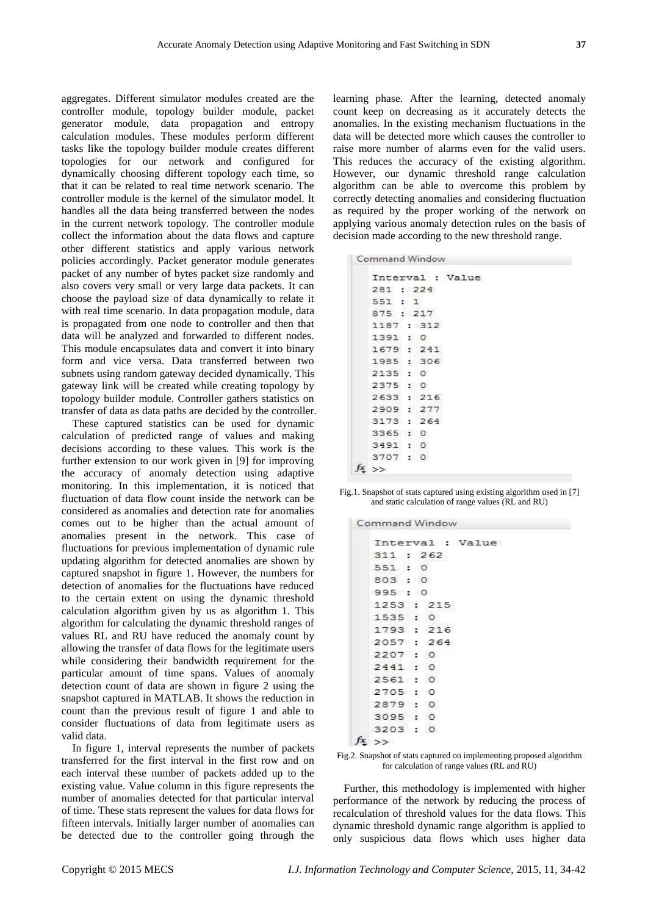aggregates. Different simulator modules created are the controller module, topology builder module, packet generator module, data propagation and entropy calculation modules. These modules perform different tasks like the topology builder module creates different topologies for our network and configured for dynamically choosing different topology each time, so that it can be related to real time network scenario. The controller module is the kernel of the simulator model. It handles all the data being transferred between the nodes in the current network topology. The controller module collect the information about the data flows and capture other different statistics and apply various network policies accordingly. Packet generator module generates packet of any number of bytes packet size randomly and also covers very small or very large data packets. It can choose the payload size of data dynamically to relate it with real time scenario. In data propagation module, data is propagated from one node to controller and then that data will be analyzed and forwarded to different nodes. This module encapsulates data and convert it into binary form and vice versa. Data transferred between two subnets using random gateway decided dynamically. This gateway link will be created while creating topology by topology builder module. Controller gathers statistics on transfer of data as data paths are decided by the controller.

These captured statistics can be used for dynamic calculation of predicted range of values and making decisions according to these values. This work is the further extension to our work given in [9] for improving the accuracy of anomaly detection using adaptive monitoring. In this implementation, it is noticed that fluctuation of data flow count inside the network can be considered as anomalies and detection rate for anomalies comes out to be higher than the actual amount of anomalies present in the network. This case of fluctuations for previous implementation of dynamic rule updating algorithm for detected anomalies are shown by captured snapshot in figure 1. However, the numbers for detection of anomalies for the fluctuations have reduced to the certain extent on using the dynamic threshold calculation algorithm given by us as algorithm 1. This algorithm for calculating the dynamic threshold ranges of values RL and RU have reduced the anomaly count by allowing the transfer of data flows for the legitimate users while considering their bandwidth requirement for the particular amount of time spans. Values of anomaly detection count of data are shown in figure 2 using the snapshot captured in MATLAB. It shows the reduction in count than the previous result of figure 1 and able to consider fluctuations of data from legitimate users as valid data.

In figure 1, interval represents the number of packets transferred for the first interval in the first row and on each interval these number of packets added up to the existing value. Value column in this figure represents the number of anomalies detected for that particular interval of time. These stats represent the values for data flows for fifteen intervals. Initially larger number of anomalies can be detected due to the controller going through the

learning phase. After the learning, detected anomaly count keep on decreasing as it accurately detects the anomalies. In the existing mechanism fluctuations in the data will be detected more which causes the controller to raise more number of alarms even for the valid users. This reduces the accuracy of the existing algorithm. However, our dynamic threshold range calculation algorithm can be able to overcome this problem by correctly detecting anomalies and considering fluctuation as required by the proper working of the network on applying various anomaly detection rules on the basis of decision made according to the new threshold range.

| Command Window |  |
|----------------|--|
|                |  |
|                |  |

|            |  | Interval : Value |
|------------|--|------------------|
| 281:224    |  |                  |
| 551 : 1    |  |                  |
| 875: 217   |  |                  |
| 1187 : 312 |  |                  |
| 1391:0     |  |                  |
| 1679:241   |  |                  |
| 1985: 306  |  |                  |
| 2135 : 0   |  |                  |
| 2375 : 0   |  |                  |
| 2633:216   |  |                  |
| 2909:277   |  |                  |
| 3173 : 264 |  |                  |
| 3365 : 0   |  |                  |
| 3491:0     |  |                  |
| 3707 : 0   |  |                  |
| $ x  \geq$ |  |                  |

Fig.1. Snapshot of stats captured using existing algorithm used in [7] and static calculation of range values (RL and RU)

| Command Window   |            |  |  |  |  |                  |
|------------------|------------|--|--|--|--|------------------|
|                  |            |  |  |  |  | Interval : Value |
|                  | 311 : 262  |  |  |  |  |                  |
|                  | 551 : 0    |  |  |  |  |                  |
|                  | 803 : 0    |  |  |  |  |                  |
|                  | 995:0      |  |  |  |  |                  |
|                  | 1253 : 215 |  |  |  |  |                  |
|                  | 1535 : 0   |  |  |  |  |                  |
|                  | 1793 : 216 |  |  |  |  |                  |
|                  | 2057 : 264 |  |  |  |  |                  |
|                  | 2207:0     |  |  |  |  |                  |
|                  | 2441:0     |  |  |  |  |                  |
|                  | 2561 : 0   |  |  |  |  |                  |
|                  | 2705 : 0   |  |  |  |  |                  |
|                  | 2879:0     |  |  |  |  |                  |
|                  | 3095 : 0   |  |  |  |  |                  |
|                  | 3203 : 0   |  |  |  |  |                  |
| $fx \rightarrow$ |            |  |  |  |  |                  |

Fig.2. Snapshot of stats captured on implementing proposed algorithm for calculation of range values (RL and RU)

Further, this methodology is implemented with higher performance of the network by reducing the process of recalculation of threshold values for the data flows. This dynamic threshold dynamic range algorithm is applied to only suspicious data flows which uses higher data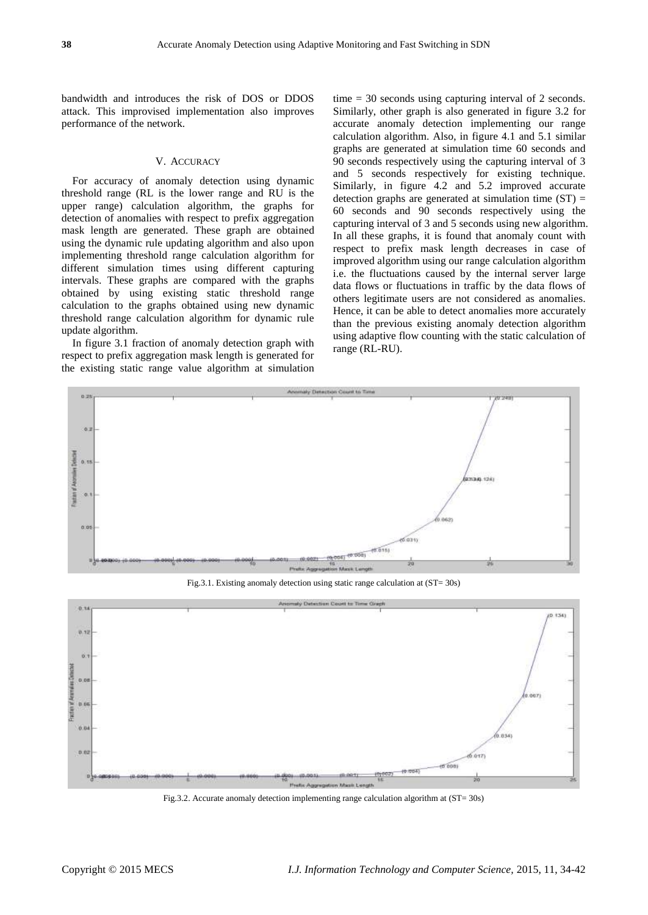bandwidth and introduces the risk of DOS or DDOS attack. This improvised implementation also improves performance of the network.

#### V. ACCURACY

For accuracy of anomaly detection using dynamic threshold range (RL is the lower range and RU is the upper range) calculation algorithm, the graphs for detection of anomalies with respect to prefix aggregation mask length are generated. These graph are obtained using the dynamic rule updating algorithm and also upon implementing threshold range calculation algorithm for different simulation times using different capturing intervals. These graphs are compared with the graphs obtained by using existing static threshold range calculation to the graphs obtained using new dynamic threshold range calculation algorithm for dynamic rule update algorithm.

In figure 3.1 fraction of anomaly detection graph with respect to prefix aggregation mask length is generated for the existing static range value algorithm at simulation time = 30 seconds using capturing interval of 2 seconds. Similarly, other graph is also generated in figure 3.2 for accurate anomaly detection implementing our range calculation algorithm. Also, in figure 4.1 and 5.1 similar graphs are generated at simulation time 60 seconds and 90 seconds respectively using the capturing interval of 3 and 5 seconds respectively for existing technique. Similarly, in figure 4.2 and 5.2 improved accurate detection graphs are generated at simulation time  $(ST)$  = 60 seconds and 90 seconds respectively using the capturing interval of 3 and 5 seconds using new algorithm. In all these graphs, it is found that anomaly count with respect to prefix mask length decreases in case of improved algorithm using our range calculation algorithm i.e. the fluctuations caused by the internal server large data flows or fluctuations in traffic by the data flows of others legitimate users are not considered as anomalies. Hence, it can be able to detect anomalies more accurately than the previous existing anomaly detection algorithm using adaptive flow counting with the static calculation of range (RL-RU).





Fig.3.2. Accurate anomaly detection implementing range calculation algorithm at (ST= 30s)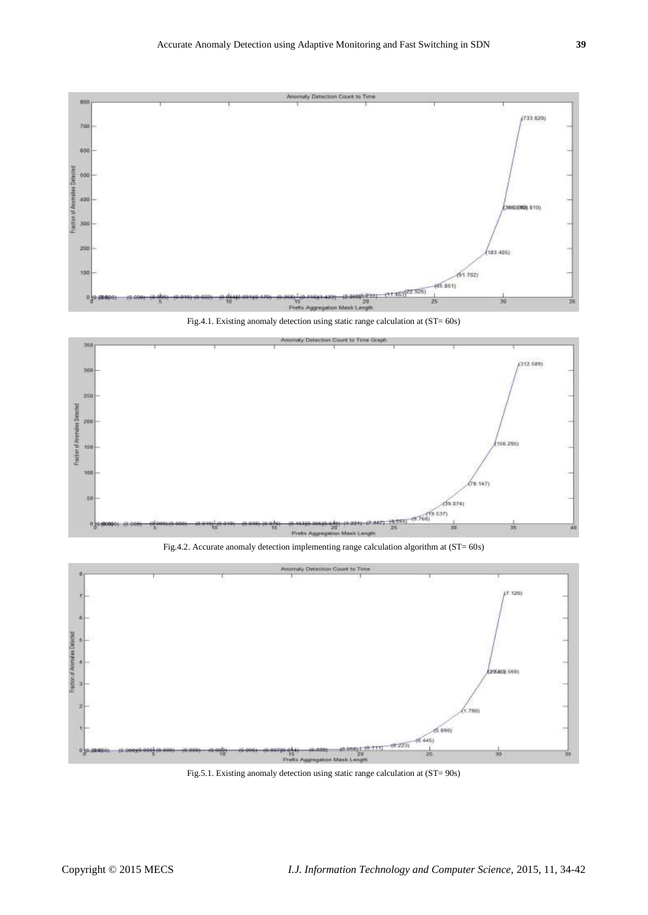



Fig.4.2. Accurate anomaly detection implementing range calculation algorithm at (ST= 60s)



Fig.5.1. Existing anomaly detection using static range calculation at (ST= 90s)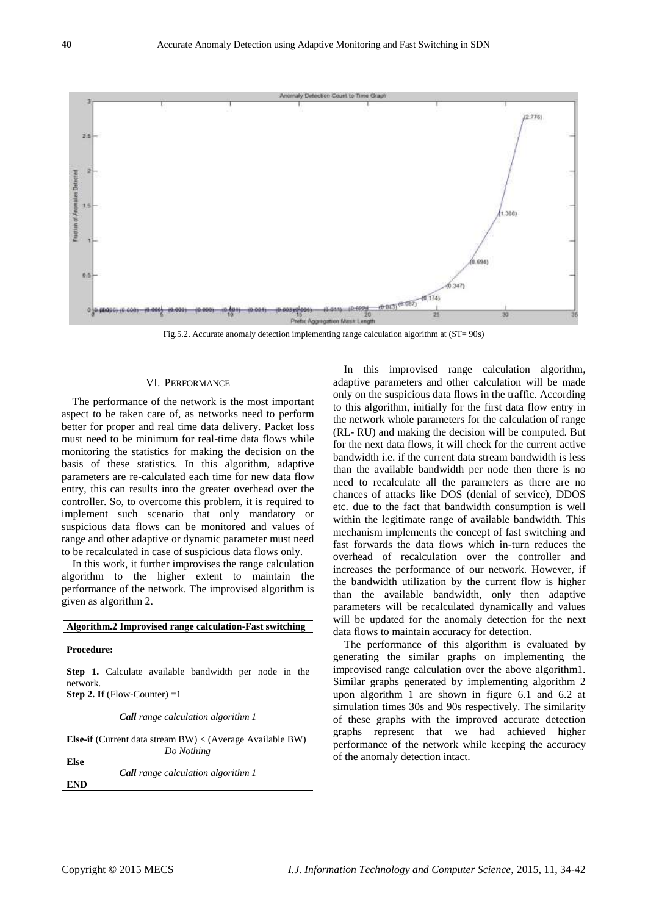

Fig.5.2. Accurate anomaly detection implementing range calculation algorithm at (ST= 90s)

#### VI. PERFORMANCE

The performance of the network is the most important aspect to be taken care of, as networks need to perform better for proper and real time data delivery. Packet loss must need to be minimum for real-time data flows while monitoring the statistics for making the decision on the basis of these statistics. In this algorithm, adaptive parameters are re-calculated each time for new data flow entry, this can results into the greater overhead over the controller. So, to overcome this problem, it is required to implement such scenario that only mandatory or suspicious data flows can be monitored and values of range and other adaptive or dynamic parameter must need to be recalculated in case of suspicious data flows only.

In this work, it further improvises the range calculation algorithm to the higher extent to maintain the performance of the network. The improvised algorithm is given as algorithm 2.

### **Algorithm.2 Improvised range calculation-Fast switching**

#### **Procedure:**

**Step 1.** Calculate available bandwidth per node in the network. **Step 2. If** (Flow-Counter)  $=1$ 

*Call range calculation algorithm 1*

**Else-if** (Current data stream BW) < (Average Available BW) *Do Nothing* **Else** *Call range calculation algorithm 1*

**END**

In this improvised range calculation algorithm, adaptive parameters and other calculation will be made only on the suspicious data flows in the traffic. According to this algorithm, initially for the first data flow entry in the network whole parameters for the calculation of range (RL- RU) and making the decision will be computed. But for the next data flows, it will check for the current active bandwidth i.e. if the current data stream bandwidth is less than the available bandwidth per node then there is no need to recalculate all the parameters as there are no chances of attacks like DOS (denial of service), DDOS etc. due to the fact that bandwidth consumption is well within the legitimate range of available bandwidth. This mechanism implements the concept of fast switching and fast forwards the data flows which in-turn reduces the overhead of recalculation over the controller and increases the performance of our network. However, if the bandwidth utilization by the current flow is higher than the available bandwidth, only then adaptive parameters will be recalculated dynamically and values will be updated for the anomaly detection for the next data flows to maintain accuracy for detection.

The performance of this algorithm is evaluated by generating the similar graphs on implementing the improvised range calculation over the above algorithm1. Similar graphs generated by implementing algorithm 2 upon algorithm 1 are shown in figure 6.1 and 6.2 at simulation times 30s and 90s respectively. The similarity of these graphs with the improved accurate detection graphs represent that we had achieved higher performance of the network while keeping the accuracy of the anomaly detection intact.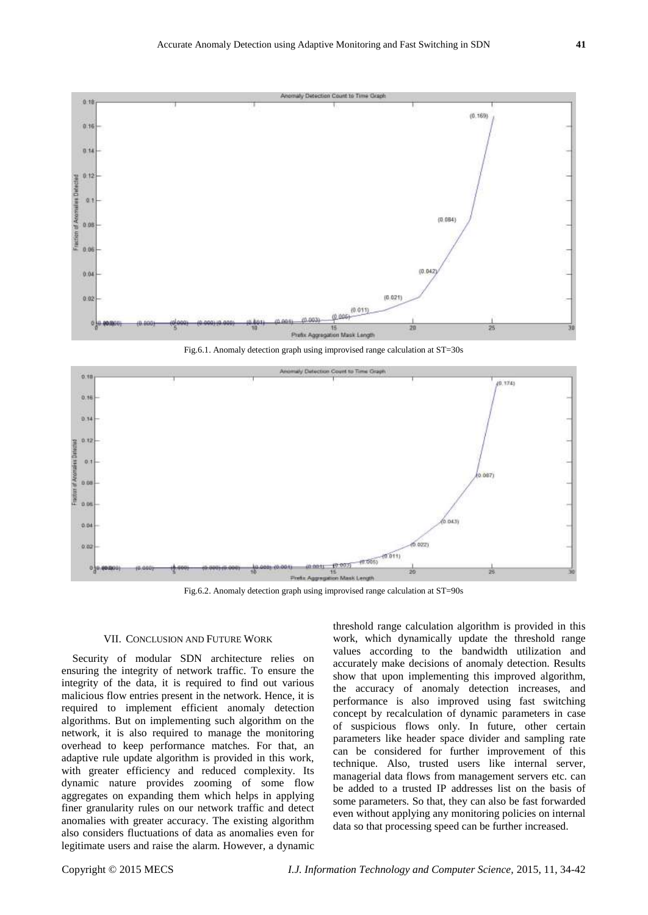

Fig.6.1. Anomaly detection graph using improvised range calculation at ST=30s



Fig.6.2. Anomaly detection graph using improvised range calculation at ST=90s

#### VII. CONCLUSION AND FUTURE WORK

Security of modular SDN architecture relies on ensuring the integrity of network traffic. To ensure the integrity of the data, it is required to find out various malicious flow entries present in the network. Hence, it is required to implement efficient anomaly detection algorithms. But on implementing such algorithm on the network, it is also required to manage the monitoring overhead to keep performance matches. For that, an adaptive rule update algorithm is provided in this work, with greater efficiency and reduced complexity. Its dynamic nature provides zooming of some flow aggregates on expanding them which helps in applying finer granularity rules on our network traffic and detect anomalies with greater accuracy. The existing algorithm also considers fluctuations of data as anomalies even for legitimate users and raise the alarm. However, a dynamic

threshold range calculation algorithm is provided in this work, which dynamically update the threshold range values according to the bandwidth utilization and accurately make decisions of anomaly detection. Results show that upon implementing this improved algorithm, the accuracy of anomaly detection increases, and performance is also improved using fast switching concept by recalculation of dynamic parameters in case of suspicious flows only. In future, other certain parameters like header space divider and sampling rate can be considered for further improvement of this technique. Also, trusted users like internal server, managerial data flows from management servers etc. can be added to a trusted IP addresses list on the basis of some parameters. So that, they can also be fast forwarded even without applying any monitoring policies on internal data so that processing speed can be further increased.